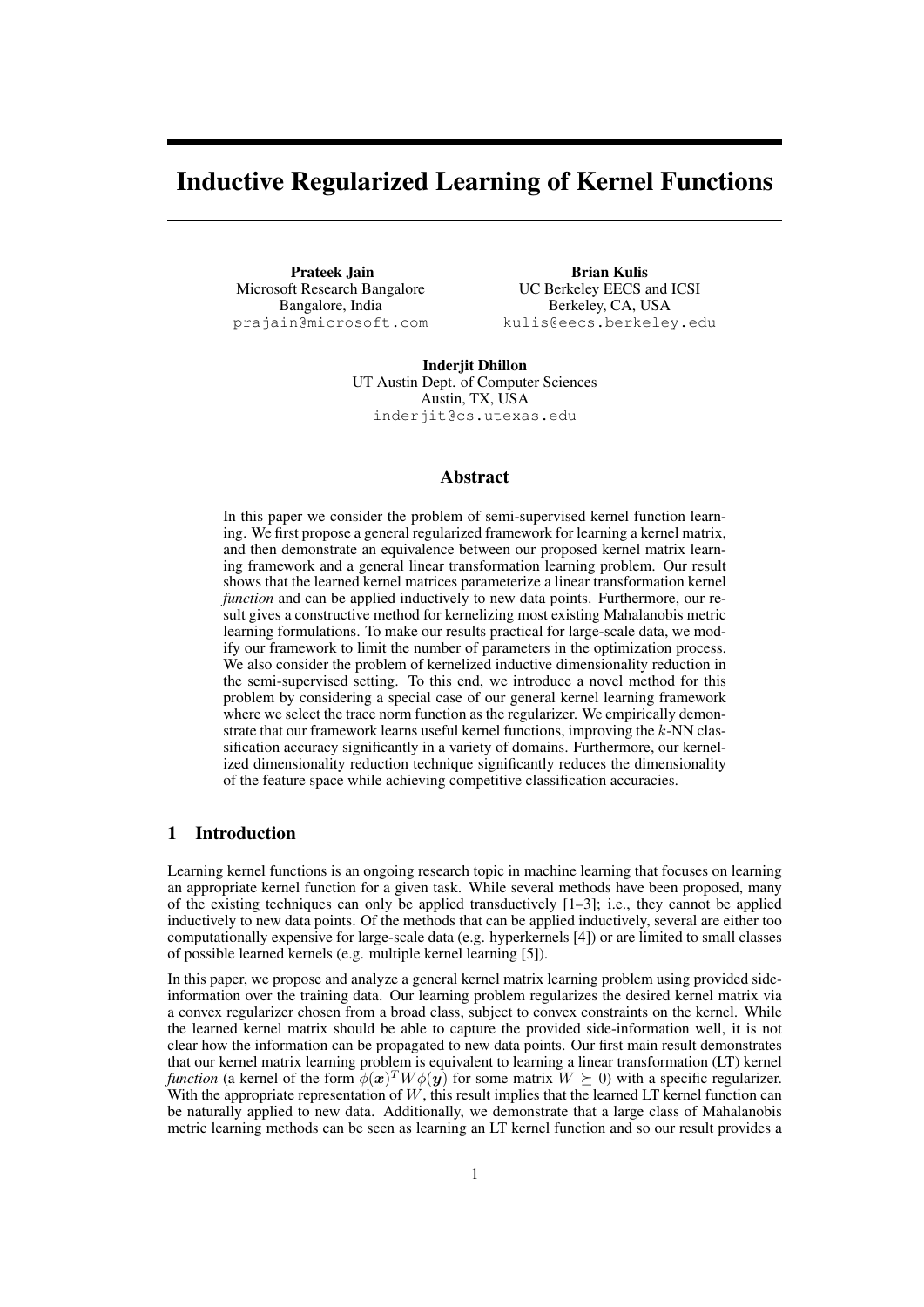# Inductive Regularized Learning of Kernel Functions

Prateek Jain Microsoft Research Bangalore Bangalore, India prajain@microsoft.com

Brian Kulis UC Berkeley EECS and ICSI Berkeley, CA, USA kulis@eecs.berkeley.edu

Inderjit Dhillon UT Austin Dept. of Computer Sciences Austin, TX, USA inderjit@cs.utexas.edu

# Abstract

In this paper we consider the problem of semi-supervised kernel function learning. We first propose a general regularized framework for learning a kernel matrix, and then demonstrate an equivalence between our proposed kernel matrix learning framework and a general linear transformation learning problem. Our result shows that the learned kernel matrices parameterize a linear transformation kernel *function* and can be applied inductively to new data points. Furthermore, our result gives a constructive method for kernelizing most existing Mahalanobis metric learning formulations. To make our results practical for large-scale data, we modify our framework to limit the number of parameters in the optimization process. We also consider the problem of kernelized inductive dimensionality reduction in the semi-supervised setting. To this end, we introduce a novel method for this problem by considering a special case of our general kernel learning framework where we select the trace norm function as the regularizer. We empirically demonstrate that our framework learns useful kernel functions, improving the *k*-NN classification accuracy significantly in a variety of domains. Furthermore, our kernelized dimensionality reduction technique significantly reduces the dimensionality of the feature space while achieving competitive classification accuracies.

# 1 Introduction

Learning kernel functions is an ongoing research topic in machine learning that focuses on learning an appropriate kernel function for a given task. While several methods have been proposed, many of the existing techniques can only be applied transductively [1–3]; i.e., they cannot be applied inductively to new data points. Of the methods that can be applied inductively, several are either too computationally expensive for large-scale data (e.g. hyperkernels [4]) or are limited to small classes of possible learned kernels (e.g. multiple kernel learning [5]).

In this paper, we propose and analyze a general kernel matrix learning problem using provided sideinformation over the training data. Our learning problem regularizes the desired kernel matrix via a convex regularizer chosen from a broad class, subject to convex constraints on the kernel. While the learned kernel matrix should be able to capture the provided side-information well, it is not clear how the information can be propagated to new data points. Our first main result demonstrates that our kernel matrix learning problem is equivalent to learning a linear transformation (LT) kernel *function* (a kernel of the form  $\phi(x)^T W \phi(y)$  for some matrix  $W \succeq 0$ ) with a specific regularizer. With the appropriate representation of  $W$ , this result implies that the learned LT kernel function can be naturally applied to new data. Additionally, we demonstrate that a large class of Mahalanobis metric learning methods can be seen as learning an LT kernel function and so our result provides a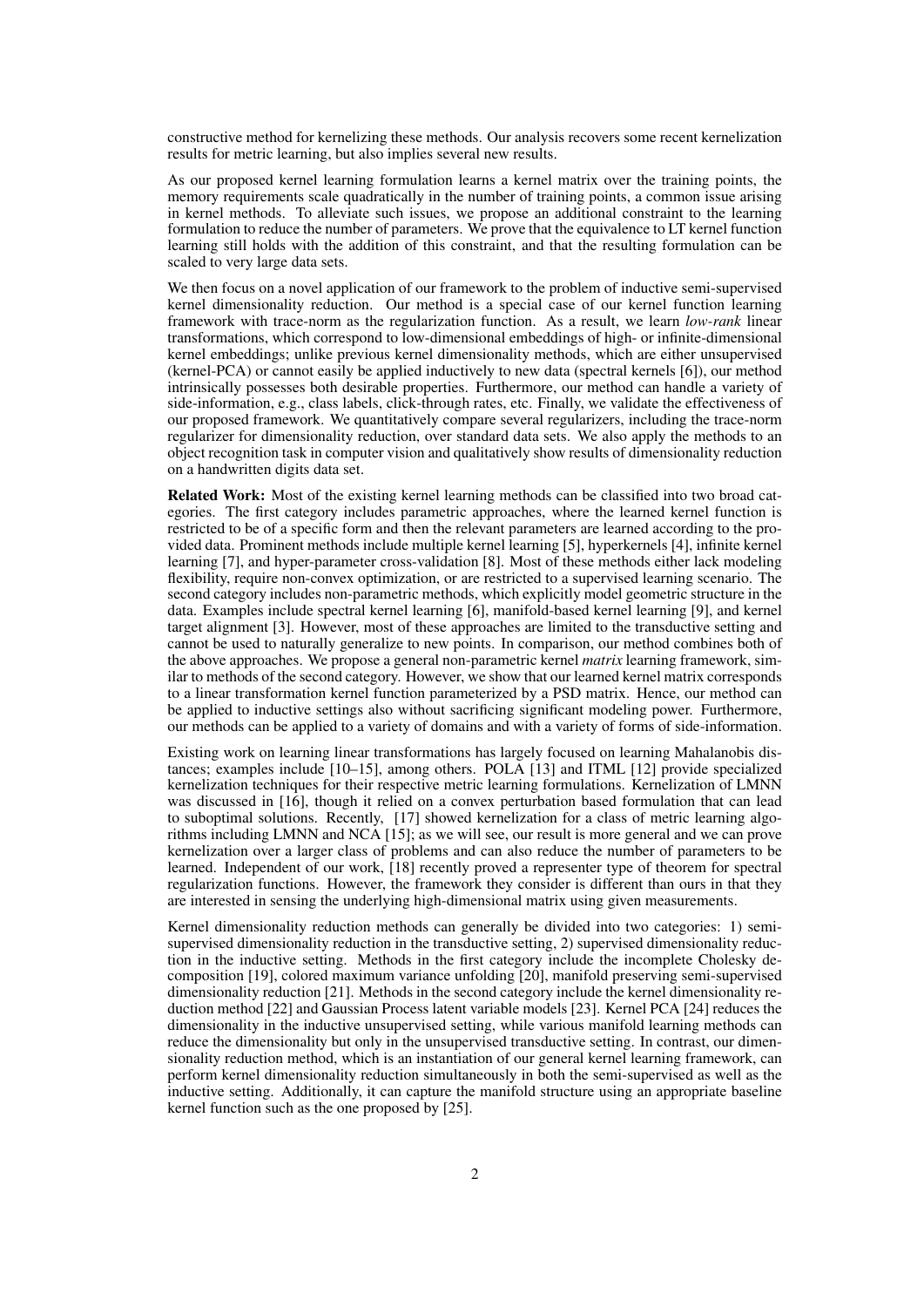constructive method for kernelizing these methods. Our analysis recovers some recent kernelization results for metric learning, but also implies several new results.

As our proposed kernel learning formulation learns a kernel matrix over the training points, the memory requirements scale quadratically in the number of training points, a common issue arising in kernel methods. To alleviate such issues, we propose an additional constraint to the learning formulation to reduce the number of parameters. We prove that the equivalence to LT kernel function learning still holds with the addition of this constraint, and that the resulting formulation can be scaled to very large data sets.

We then focus on a novel application of our framework to the problem of inductive semi-supervised kernel dimensionality reduction. Our method is a special case of our kernel function learning framework with trace-norm as the regularization function. As a result, we learn *low-rank* linear transformations, which correspond to low-dimensional embeddings of high- or infinite-dimensional kernel embeddings; unlike previous kernel dimensionality methods, which are either unsupervised (kernel-PCA) or cannot easily be applied inductively to new data (spectral kernels [6]), our method intrinsically possesses both desirable properties. Furthermore, our method can handle a variety of side-information, e.g., class labels, click-through rates, etc. Finally, we validate the effectiveness of our proposed framework. We quantitatively compare several regularizers, including the trace-norm regularizer for dimensionality reduction, over standard data sets. We also apply the methods to an object recognition task in computer vision and qualitatively show results of dimensionality reduction on a handwritten digits data set.

Related Work: Most of the existing kernel learning methods can be classified into two broad categories. The first category includes parametric approaches, where the learned kernel function is restricted to be of a specific form and then the relevant parameters are learned according to the provided data. Prominent methods include multiple kernel learning [5], hyperkernels [4], infinite kernel learning [7], and hyper-parameter cross-validation [8]. Most of these methods either lack modeling flexibility, require non-convex optimization, or are restricted to a supervised learning scenario. The second category includes non-parametric methods, which explicitly model geometric structure in the data. Examples include spectral kernel learning [6], manifold-based kernel learning [9], and kernel target alignment [3]. However, most of these approaches are limited to the transductive setting and cannot be used to naturally generalize to new points. In comparison, our method combines both of the above approaches. We propose a general non-parametric kernel *matrix* learning framework, similar to methods of the second category. However, we show that our learned kernel matrix corresponds to a linear transformation kernel function parameterized by a PSD matrix. Hence, our method can be applied to inductive settings also without sacrificing significant modeling power. Furthermore, our methods can be applied to a variety of domains and with a variety of forms of side-information.

Existing work on learning linear transformations has largely focused on learning Mahalanobis distances; examples include [10–15], among others. POLA [13] and ITML [12] provide specialized kernelization techniques for their respective metric learning formulations. Kernelization of LMNN was discussed in [16], though it relied on a convex perturbation based formulation that can lead to suboptimal solutions. Recently, [17] showed kernelization for a class of metric learning algorithms including LMNN and NCA [15]; as we will see, our result is more general and we can prove kernelization over a larger class of problems and can also reduce the number of parameters to be learned. Independent of our work, [18] recently proved a representer type of theorem for spectral regularization functions. However, the framework they consider is different than ours in that they are interested in sensing the underlying high-dimensional matrix using given measurements.

Kernel dimensionality reduction methods can generally be divided into two categories: 1) semisupervised dimensionality reduction in the transductive setting, 2) supervised dimensionality reduction in the inductive setting. Methods in the first category include the incomplete Cholesky decomposition [19], colored maximum variance unfolding [20], manifold preserving semi-supervised dimensionality reduction [21]. Methods in the second category include the kernel dimensionality reduction method [22] and Gaussian Process latent variable models [23]. Kernel PCA [24] reduces the dimensionality in the inductive unsupervised setting, while various manifold learning methods can reduce the dimensionality but only in the unsupervised transductive setting. In contrast, our dimensionality reduction method, which is an instantiation of our general kernel learning framework, can perform kernel dimensionality reduction simultaneously in both the semi-supervised as well as the inductive setting. Additionally, it can capture the manifold structure using an appropriate baseline kernel function such as the one proposed by [25].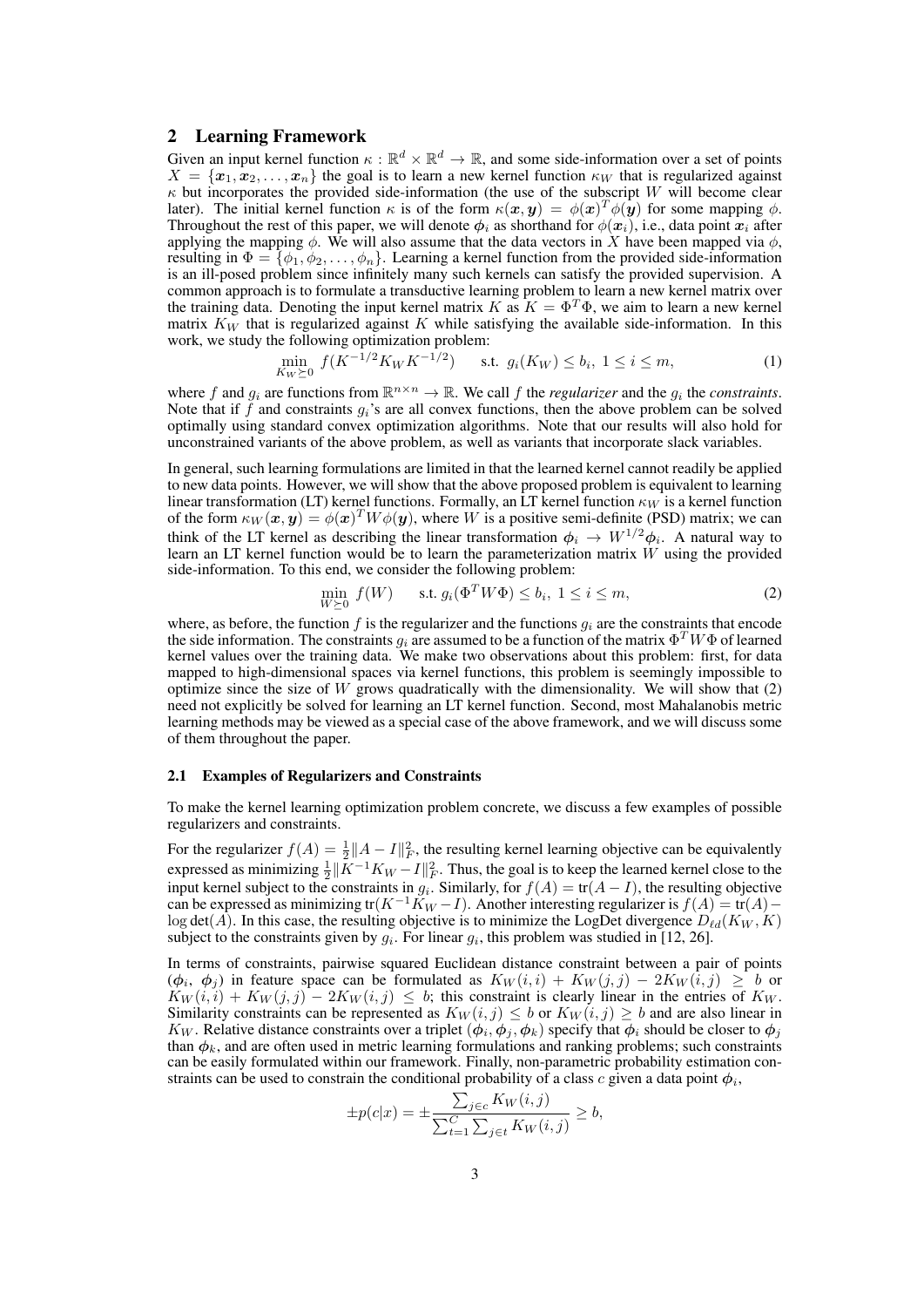# 2 Learning Framework

Given an input kernel function  $\kappa : \mathbb{R}^d \times \mathbb{R}^d \to \mathbb{R}$ , and some side-information over a set of points  $X = \{x_1, x_2, \ldots, x_n\}$  the goal is to learn a new kernel function  $\kappa_W$  that is regularized against *κ* but incorporates the provided side-information (the use of the subscript *W* will become clear later). The initial kernel function  $\kappa$  is of the form  $\kappa(x, y) = \phi(x)^T \phi(y)$  for some mapping  $\phi$ . Throughout the rest of this paper, we will denote  $\phi_i$  as shorthand for  $\phi(x_i)$ , i.e., data point  $x_i$  after applying the mapping  $\phi$ . We will also assume that the data vectors in *X* have been mapped via  $\phi$ , resulting in  $\Phi = {\phi_1, \phi_2, \ldots, \phi_n}$ . Learning a kernel function from the provided side-information is an ill-posed problem since infinitely many such kernels can satisfy the provided supervision. A common approach is to formulate a transductive learning problem to learn a new kernel matrix over the training data. Denoting the input kernel matrix *K* as  $K = \Phi^T \Phi$ , we aim to learn a new kernel matrix *K<sup>W</sup>* that is regularized against *K* while satisfying the available side-information. In this work, we study the following optimization problem:

$$
\min_{K_W \succeq 0} f(K^{-1/2} K_W K^{-1/2}) \qquad \text{s.t.} \ \ g_i(K_W) \le b_i, \ 1 \le i \le m,\tag{1}
$$

where f and  $g_i$  are functions from  $\mathbb{R}^{n \times n} \to \mathbb{R}$ . We call f the *regularizer* and the  $g_i$  the *constraints*. Note that if  $\hat{f}$  and constraints  $g_i$ 's are all convex functions, then the above problem can be solved optimally using standard convex optimization algorithms. Note that our results will also hold for unconstrained variants of the above problem, as well as variants that incorporate slack variables.

In general, such learning formulations are limited in that the learned kernel cannot readily be applied to new data points. However, we will show that the above proposed problem is equivalent to learning linear transformation (LT) kernel functions. Formally, an LT kernel function *κ<sup>W</sup>* is a kernel function of the form  $\kappa_W(\bm{x}, \bm{y}) = \phi(\bm{x})^T W \phi(\bm{y})$ , where *W* is a positive semi-definite (PSD) matrix; we can think of the LT kernel as describing the linear transformation  $\phi_i \to W^{1/2} \phi_i$ . A natural way to learn an LT kernel function would be to learn the parameterization matrix *W* using the provided side-information. To this end, we consider the following problem:

$$
\min_{W \succeq 0} f(W) \qquad \text{s.t. } g_i(\Phi^T W \Phi) \le b_i, \ 1 \le i \le m,
$$
\n<sup>(2)</sup>

where, as before, the function *f* is the regularizer and the functions *g<sup>i</sup>* are the constraints that encode the side information. The constraints  $g_i$  are assumed to be a function of the matrix  $\Phi^T W \Phi$  of learned kernel values over the training data. We make two observations about this problem: first, for data mapped to high-dimensional spaces via kernel functions, this problem is seemingly impossible to optimize since the size of *W* grows quadratically with the dimensionality. We will show that (2) need not explicitly be solved for learning an LT kernel function. Second, most Mahalanobis metric learning methods may be viewed as a special case of the above framework, and we will discuss some of them throughout the paper.

#### 2.1 Examples of Regularizers and Constraints

To make the kernel learning optimization problem concrete, we discuss a few examples of possible regularizers and constraints.

For the regularizer  $f(A) = \frac{1}{2} ||A - I||_F^2$ , the resulting kernel learning objective can be equivalently expressed as minimizing  $\frac{1}{2} \|\bar{K}^{-1}K_W - I\|_F^2$ . Thus, the goal is to keep the learned kernel close to the input kernel subject to the constraints in  $g_i$ . Similarly, for  $f(A) = \text{tr}(A - I)$ , the resulting objective can be expressed as minimizing tr( $K^{-1}K_W - I$ ). Another interesting regularizer is  $f(A) = \text{tr}(A) - I$ log det(*A*). In this case, the resulting objective is to minimize the LogDet divergence  $D_{\ell d}(K_W, K)$ subject to the constraints given by  $g_i$ . For linear  $g_i$ , this problem was studied in [12, 26].

In terms of constraints, pairwise squared Euclidean distance constraint between a pair of points  $(φ<sub>i</sub>, φ<sub>j</sub>)$  in feature space can be formulated as  $K_W(i,i) + K_W(j,j) - 2K_W(i,j) \geq b$  or  $K_W(i, i) + K_W(j, j) - 2K_W(i, j) \leq b$ ; this constraint is clearly linear in the entries of  $K_W$ . Similarity constraints can be represented as  $K_W(i, j) \leq b$  or  $K_W(i, j) \geq b$  and are also linear in *K*<sub>*W*</sub>. Relative distance constraints over a triplet  $(\phi_i, \phi_j, \phi_k)$  specify that  $\phi_i$  should be closer to  $\phi_j$ than  $\phi_k$ , and are often used in metric learning formulations and ranking problems; such constraints can be easily formulated within our framework. Finally, non-parametric probability estimation constraints can be used to constrain the conditional probability of a class  $c$  given a data point  $\phi_i$ ,

$$
\pm p(c|x) = \pm \frac{\sum_{j \in c} K_W(i,j)}{\sum_{t=1}^C \sum_{j \in t} K_W(i,j)} \ge b,
$$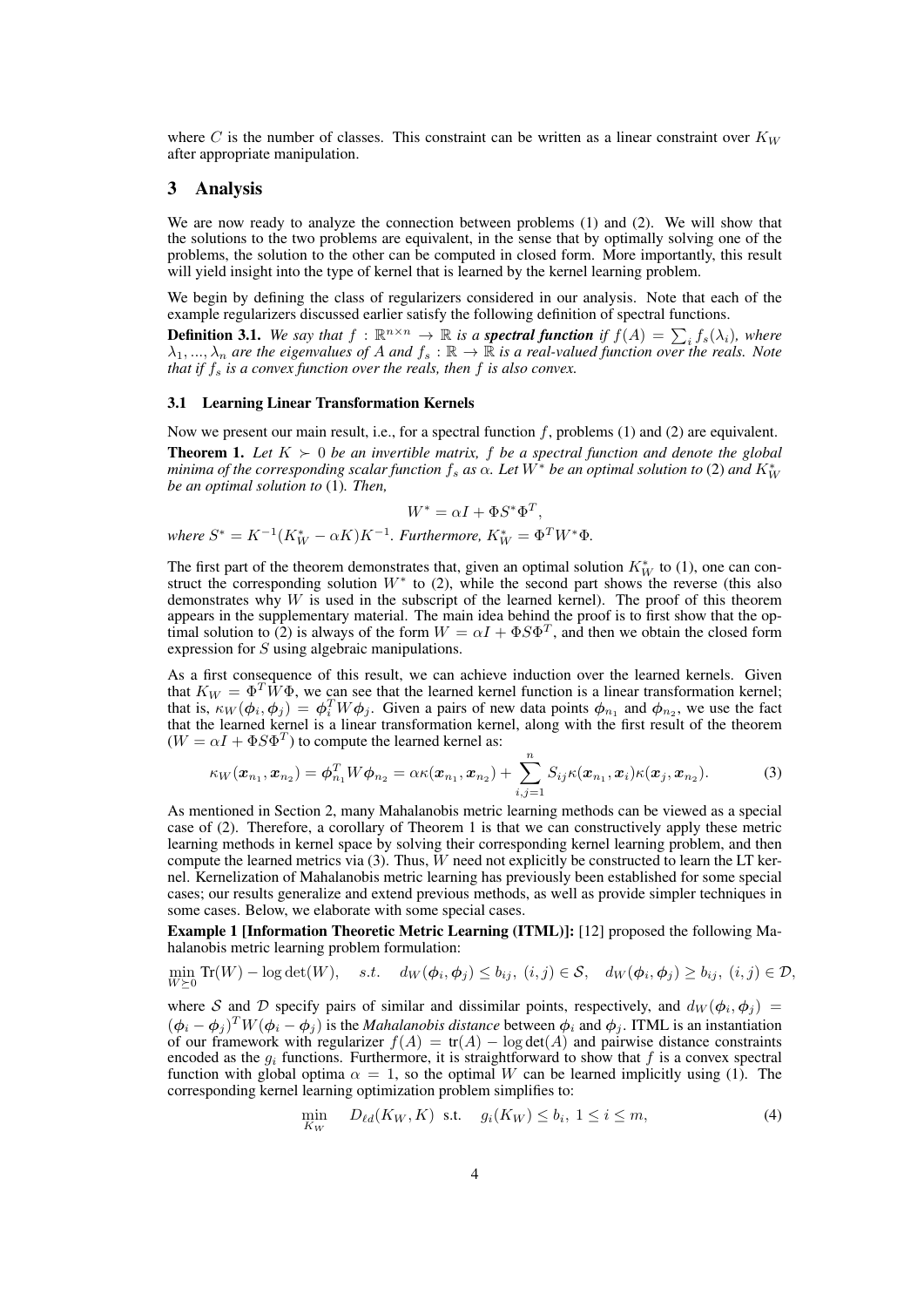where C is the number of classes. This constraint can be written as a linear constraint over  $K_W$ after appropriate manipulation.

## 3 Analysis

We are now ready to analyze the connection between problems (1) and (2). We will show that the solutions to the two problems are equivalent, in the sense that by optimally solving one of the problems, the solution to the other can be computed in closed form. More importantly, this result will yield insight into the type of kernel that is learned by the kernel learning problem.

We begin by defining the class of regularizers considered in our analysis. Note that each of the example regularizers discussed earlier satisfy the following definition of spectral functions.

**Definition 3.1.** We say that  $f : \mathbb{R}^{n \times n} \to \mathbb{R}$  is a **spectral function** if  $f(A) = \sum_i f_s(\lambda_i)$ , where  $\lambda_1, ..., \lambda_n$  *are the eigenvalues of A and*  $f_s : \mathbb{R} \to \mathbb{R}$  *is a real-valued function over the reals. Note that if f<sup>s</sup> is a convex function over the reals, then f is also convex.*

#### 3.1 Learning Linear Transformation Kernels

Now we present our main result, i.e., for a spectral function f, problems (1) and (2) are equivalent.

**Theorem 1.** Let  $K \succ 0$  be an invertible matrix, f be a spectral function and denote the global *minima of the corresponding scalar function*  $f_s$  *as*  $\alpha$ *. Let*  $W^*$  *be an optimal solution to (2) and*  $K^*_W$ *be an optimal solution to* (1)*. Then,*

$$
W^* = \alpha I + \Phi S^* \Phi^T,
$$

*where*  $S^* = K^{-1}(K^*_{W} - \alpha K)K^{-1}$ . Furthermore,  $K^*_{W} = \Phi^T W^* \Phi$ .

The first part of the theorem demonstrates that, given an optimal solution  $K_W^*$  to (1), one can construct the corresponding solution *W<sup>∗</sup>* to (2), while the second part shows the reverse (this also demonstrates why *W* is used in the subscript of the learned kernel). The proof of this theorem appears in the supplementary material. The main idea behind the proof is to first show that the optimal solution to (2) is always of the form  $W = \alpha I + \Phi S \Phi^T$ , and then we obtain the closed form expression for *S* using algebraic manipulations.

As a first consequence of this result, we can achieve induction over the learned kernels. Given that  $K_W = \Phi^T \hat{W} \Phi$ , we can see that the learned kernel function is a linear transformation kernel; that is,  $\kappa_W(\phi_i, \phi_j) = \phi_i^T W \phi_j$ . Given a pairs of new data points  $\phi_{n_1}$  and  $\phi_{n_2}$ , we use the fact that the learned kernel is a linear transformation kernel, along with the first result of the theorem  $(W = \alpha I + \Phi S \Phi^T)$  to compute the learned kernel as:

$$
\kappa_W(\boldsymbol{x}_{n_1}, \boldsymbol{x}_{n_2}) = \boldsymbol{\phi}_{n_1}^T W \boldsymbol{\phi}_{n_2} = \alpha \kappa(\boldsymbol{x}_{n_1}, \boldsymbol{x}_{n_2}) + \sum_{i,j=1}^n S_{ij} \kappa(\boldsymbol{x}_{n_1}, \boldsymbol{x}_i) \kappa(\boldsymbol{x}_j, \boldsymbol{x}_{n_2}). \tag{3}
$$

As mentioned in Section 2, many Mahalanobis metric learning methods can be viewed as a special case of (2). Therefore, a corollary of Theorem 1 is that we can constructively apply these metric learning methods in kernel space by solving their corresponding kernel learning problem, and then compute the learned metrics via (3). Thus, *W* need not explicitly be constructed to learn the LT kernel. Kernelization of Mahalanobis metric learning has previously been established for some special cases; our results generalize and extend previous methods, as well as provide simpler techniques in some cases. Below, we elaborate with some special cases.

Example 1 [Information Theoretic Metric Learning (ITML)]: [12] proposed the following Mahalanobis metric learning problem formulation:

min  $\min_{W \succeq 0} \text{Tr}(W) - \log \det(W), \quad s.t. \quad d_W(\phi_i, \phi_j) \le b_{ij}, \ (i, j) \in S, \quad d_W(\phi_i, \phi_j) \ge b_{ij}, \ (i, j) \in \mathcal{D},$ 

where *S* and *D* specify pairs of similar and dissimilar points, respectively, and  $d_W(\phi_i, \phi_j)$  =  $(\phi_i - \phi_j)^T W(\phi_i - \phi_j)$  is the *Mahalanobis distance* between  $\phi_i$  and  $\phi_j$ . ITML is an instantiation of our framework with regularizer  $f(A) = tr(A) - log det(A)$  and pairwise distance constraints encoded as the  $q_i$  functions. Furthermore, it is straightforward to show that  $f$  is a convex spectral function with global optima  $\alpha = 1$ , so the optimal *W* can be learned implicitly using (1). The corresponding kernel learning optimization problem simplifies to:

$$
\min_{K_W} \quad D_{\ell d}(K_W, K) \quad \text{s.t.} \quad g_i(K_W) \le b_i, \ 1 \le i \le m,\tag{4}
$$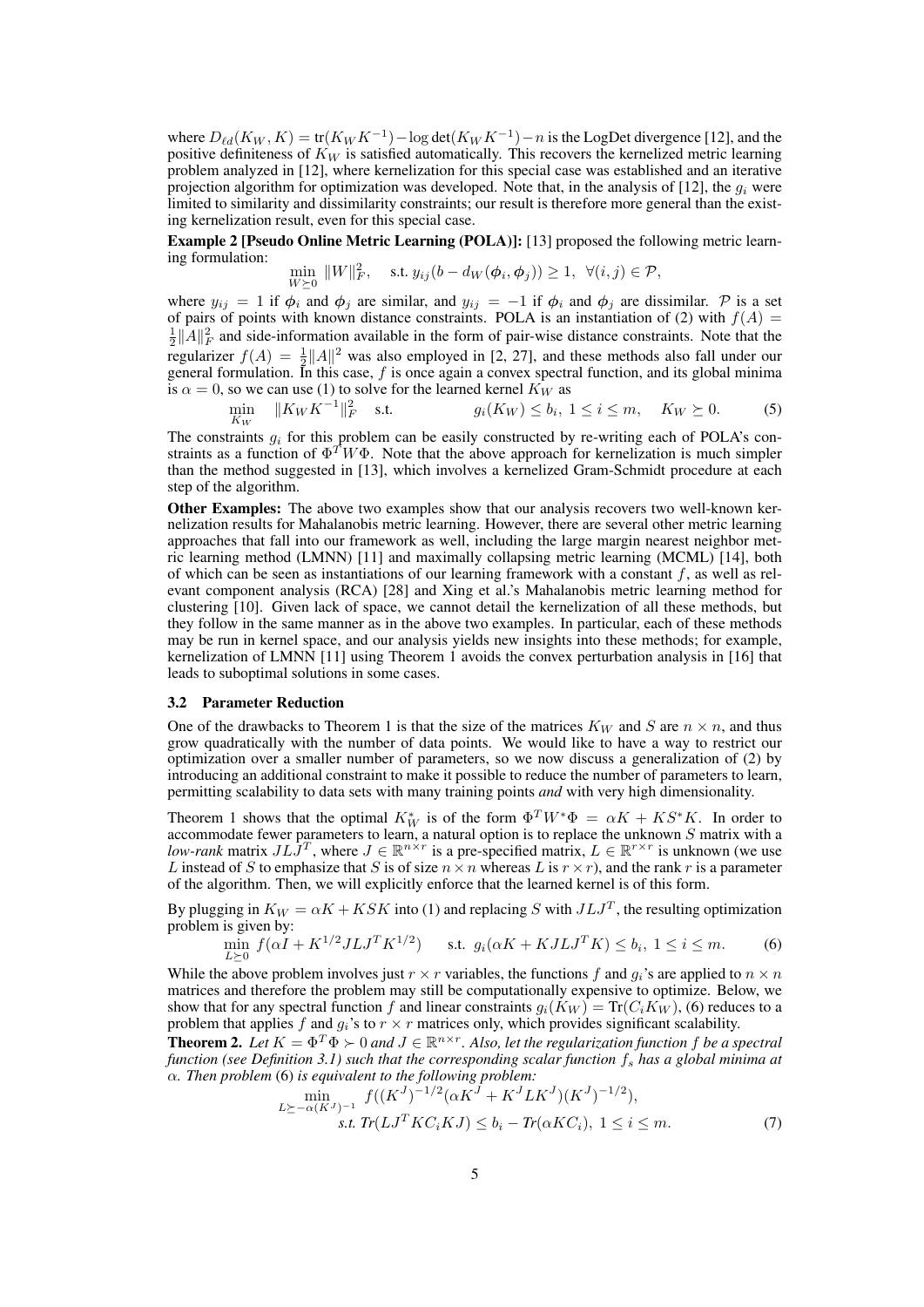where  $D_{\ell d}(K_W, K) = \text{tr}(K_W K^{-1}) - \log \text{det}(K_W K^{-1}) - n$  is the LogDet divergence [12], and the positive definiteness of  $K_W$  is satisfied automatically. This recovers the kernelized metric learning problem analyzed in [12], where kernelization for this special case was established and an iterative projection algorithm for optimization was developed. Note that, in the analysis of [12], the  $q_i$  were limited to similarity and dissimilarity constraints; our result is therefore more general than the existing kernelization result, even for this special case.

Example 2 [Pseudo Online Metric Learning (POLA)]: [13] proposed the following metric learning formulation:

$$
\min_{W \succeq 0} \|W\|_F^2, \quad \text{s.t. } y_{ij}(b - d_W(\phi_i, \phi_j)) \ge 1, \ \forall (i, j) \in \mathcal{P},
$$

where  $y_{ij} = 1$  if  $\phi_i$  and  $\phi_j$  are similar, and  $y_{ij} = -1$  if  $\phi_i$  and  $\phi_j$  are dissimilar. P is a set of pairs of points with known distance constraints. POLA is an instantiation of (2) with  $f(A)$  =  $\frac{1}{2}$  ||*A*|| $^2$ <sub>*F*</sub> and side-information available in the form of pair-wise distance constraints. Note that the regularizer  $f(A) = \frac{1}{2} ||A||^2$  was also employed in [2, 27], and these methods also fall under our general formulation. In this case, *f* is once again a convex spectral function, and its global minima is  $\alpha = 0$ , so we can use (1) to solve for the learned kernel  $K_W$  as

$$
\min_{K_W} \quad ||K_W K^{-1}||_F^2 \quad \text{s.t.} \quad g_i(K_W) \le b_i, \ 1 \le i \le m, \quad K_W \ge 0. \tag{5}
$$

The constraints *g<sup>i</sup>* for this problem can be easily constructed by re-writing each of POLA's constraints as a function of  $\Phi^T W \Phi$ . Note that the above approach for kernelization is much simpler than the method suggested in [13], which involves a kernelized Gram-Schmidt procedure at each step of the algorithm.

Other Examples: The above two examples show that our analysis recovers two well-known kernelization results for Mahalanobis metric learning. However, there are several other metric learning approaches that fall into our framework as well, including the large margin nearest neighbor metric learning method (LMNN) [11] and maximally collapsing metric learning (MCML) [14], both of which can be seen as instantiations of our learning framework with a constant *f*, as well as relevant component analysis (RCA) [28] and Xing et al.'s Mahalanobis metric learning method for clustering [10]. Given lack of space, we cannot detail the kernelization of all these methods, but they follow in the same manner as in the above two examples. In particular, each of these methods may be run in kernel space, and our analysis yields new insights into these methods; for example, kernelization of LMNN [11] using Theorem 1 avoids the convex perturbation analysis in [16] that leads to suboptimal solutions in some cases.

### 3.2 Parameter Reduction

One of the drawbacks to Theorem 1 is that the size of the matrices  $K_W$  and *S* are  $n \times n$ , and thus grow quadratically with the number of data points. We would like to have a way to restrict our optimization over a smaller number of parameters, so we now discuss a generalization of (2) by introducing an additional constraint to make it possible to reduce the number of parameters to learn, permitting scalability to data sets with many training points *and* with very high dimensionality.

Theorem 1 shows that the optimal  $K_W^*$  is of the form  $\Phi^T W^* \Phi = \alpha K + K S^* K$ . In order to accommodate fewer parameters to learn, a natural option is to replace the unknown *S* matrix with a *low-rank* matrix  $J L \tilde{J}^T$ , where  $J \in \mathbb{R}^{n \times r}$  is a pre-specified matrix,  $L \in \mathbb{R}^{r \times r}$  is unknown (we use *L* instead of *S* to emphasize that *S* is of size  $n \times n$  whereas *L* is  $r \times r$ ), and the rank *r* is a parameter of the algorithm. Then, we will explicitly enforce that the learned kernel is of this form.

By plugging in  $K_W = \alpha K + KSK$  into (1) and replacing *S* with  $JLJ^T$ , the resulting optimization problem is given by:

$$
\min_{L \succeq 0} f(\alpha I + K^{1/2} J L J^T K^{1/2}) \quad \text{s.t. } g_i(\alpha K + K J L J^T K) \le b_i, \ 1 \le i \le m. \tag{6}
$$

While the above problem involves just  $r \times r$  variables, the functions f and  $q_i$ 's are applied to  $n \times n$ matrices and therefore the problem may still be computationally expensive to optimize. Below, we show that for any spectral function *f* and linear constraints  $g_i(K_W) = \text{Tr}(C_i K_W)$ , (6) reduces to a problem that applies  $f$  and  $g_i$ 's to  $r \times r$  matrices only, which provides significant scalability.

**Theorem 2.** Let  $K = \Phi^T \Phi \succ 0$  and  $J \in \mathbb{R}^{n \times r}$ . Also, let the regularization function f be a spectral *function (see Definition 3.1) such that the corresponding scalar function f<sup>s</sup> has a global minima at α. Then problem* (6) *is equivalent to the following problem:*

$$
\min_{L \succeq -\alpha(K^J)^{-1}} f((K^J)^{-1/2} (\alpha K^J + K^J L K^J)(K^J)^{-1/2}),
$$
  
s.t.  $Tr(LJ^T K C_i K J) \le b_i - Tr(\alpha K C_i), 1 \le i \le m.$  (7)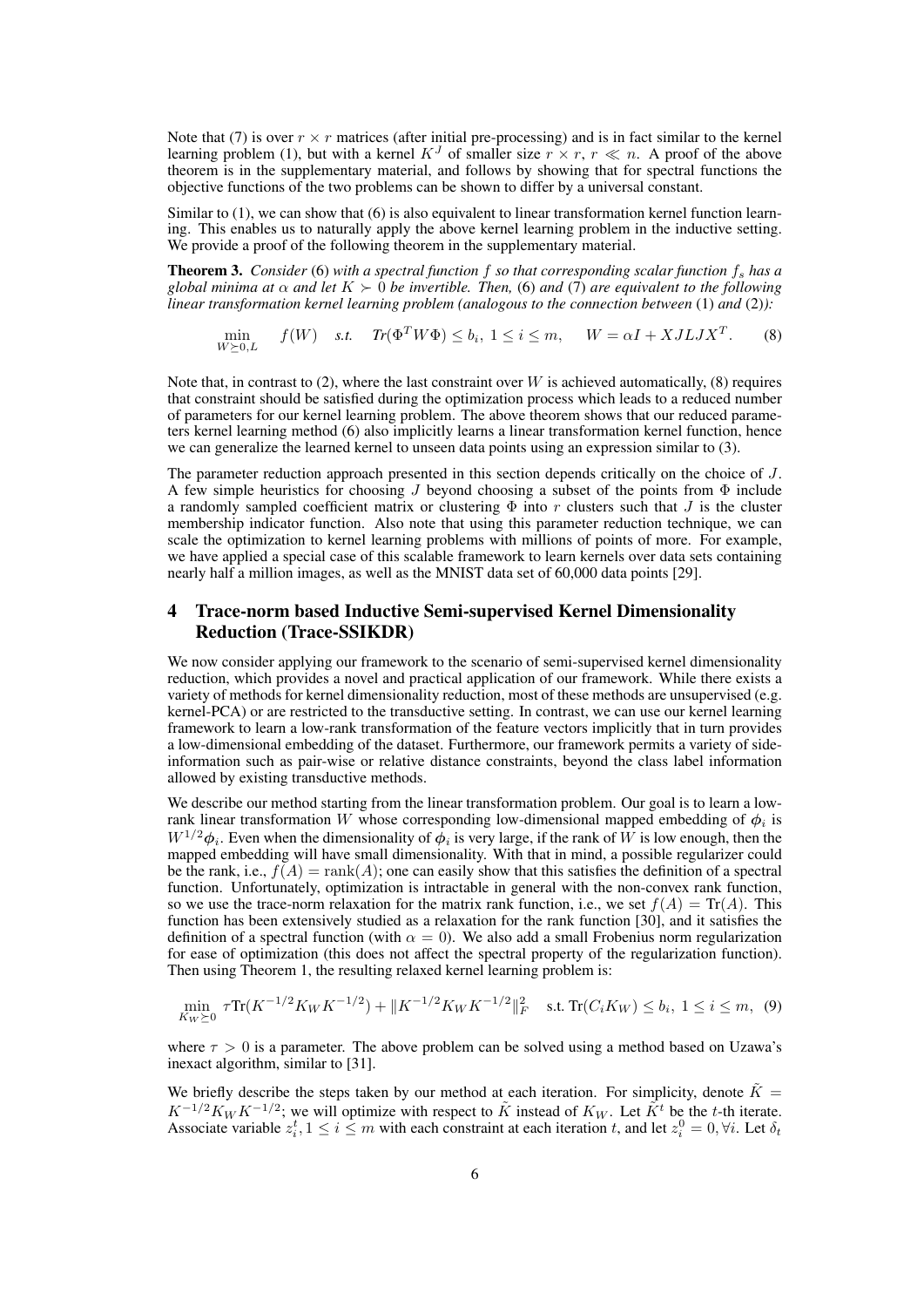Note that (7) is over  $r \times r$  matrices (after initial pre-processing) and is in fact similar to the kernel learning problem (1), but with a kernel  $K^J$  of smaller size  $r \times r$ ,  $r \ll n$ . A proof of the above theorem is in the supplementary material, and follows by showing that for spectral functions the objective functions of the two problems can be shown to differ by a universal constant.

Similar to  $(1)$ , we can show that  $(6)$  is also equivalent to linear transformation kernel function learning. This enables us to naturally apply the above kernel learning problem in the inductive setting. We provide a proof of the following theorem in the supplementary material.

Theorem 3. *Consider* (6) *with a spectral function f so that corresponding scalar function f<sup>s</sup> has a global minima at*  $\alpha$  *and let*  $K \succ 0$  *be invertible. Then,* (6) *and* (7) *are equivalent to the following linear transformation kernel learning problem (analogous to the connection between* (1) *and* (2)*):*

$$
\min_{W \succeq 0, L} f(W) \quad \text{s.t.} \quad Tr(\Phi^T W \Phi) \le b_i, \ 1 \le i \le m, \quad W = \alpha I + XJ L J X^T. \tag{8}
$$

Note that, in contrast to  $(2)$ , where the last constraint over *W* is achieved automatically,  $(8)$  requires that constraint should be satisfied during the optimization process which leads to a reduced number of parameters for our kernel learning problem. The above theorem shows that our reduced parameters kernel learning method (6) also implicitly learns a linear transformation kernel function, hence we can generalize the learned kernel to unseen data points using an expression similar to (3).

The parameter reduction approach presented in this section depends critically on the choice of *J*. A few simple heuristics for choosing *J* beyond choosing a subset of the points from Φ include a randomly sampled coefficient matrix or clustering Φ into *r* clusters such that *J* is the cluster membership indicator function. Also note that using this parameter reduction technique, we can scale the optimization to kernel learning problems with millions of points of more. For example, we have applied a special case of this scalable framework to learn kernels over data sets containing nearly half a million images, as well as the MNIST data set of 60,000 data points [29].

# 4 Trace-norm based Inductive Semi-supervised Kernel Dimensionality Reduction (Trace-SSIKDR)

We now consider applying our framework to the scenario of semi-supervised kernel dimensionality reduction, which provides a novel and practical application of our framework. While there exists a variety of methods for kernel dimensionality reduction, most of these methods are unsupervised (e.g. kernel-PCA) or are restricted to the transductive setting. In contrast, we can use our kernel learning framework to learn a low-rank transformation of the feature vectors implicitly that in turn provides a low-dimensional embedding of the dataset. Furthermore, our framework permits a variety of sideinformation such as pair-wise or relative distance constraints, beyond the class label information allowed by existing transductive methods.

We describe our method starting from the linear transformation problem. Our goal is to learn a lowrank linear transformation *W* whose corresponding low-dimensional mapped embedding of *ϕ<sup>i</sup>* is  $W^{1/2}\phi_i$ . Even when the dimensionality of  $\phi_i$  is very large, if the rank of *W* is low enough, then the mapped embedding will have small dimensionality. With that in mind, a possible regularizer could be the rank, i.e.,  $f(A) = \text{rank}(A)$ ; one can easily show that this satisfies the definition of a spectral function. Unfortunately, optimization is intractable in general with the non-convex rank function, so we use the trace-norm relaxation for the matrix rank function, i.e., we set  $f(A) = \text{Tr}(A)$ . This function has been extensively studied as a relaxation for the rank function [30], and it satisfies the definition of a spectral function (with  $\alpha = 0$ ). We also add a small Frobenius norm regularization for ease of optimization (this does not affect the spectral property of the regularization function). Then using Theorem 1, the resulting relaxed kernel learning problem is:

$$
\min_{K_W \succeq 0} \tau \text{Tr}(K^{-1/2} K_W K^{-1/2}) + \|K^{-1/2} K_W K^{-1/2}\|_F^2 \quad \text{s.t. } \text{Tr}(C_i K_W) \le b_i, \ 1 \le i \le m, \ (9)
$$

where  $\tau > 0$  is a parameter. The above problem can be solved using a method based on Uzawa's inexact algorithm, similar to [31].

We briefly describe the steps taken by our method at each iteration. For simplicity, denote  $\tilde{K} =$  $K^{-1/2}K_W K^{-1/2}$ ; we will optimize with respect to  $\tilde{K}$  instead of  $K_W$ . Let  $\tilde{K}^t$  be the *t*-th iterate. Associate variable  $z_i^t$ ,  $1 \le i \le m$  with each constraint at each iteration *t*, and let  $z_i^0 = 0$ ,  $\forall i$ . Let  $\delta_t$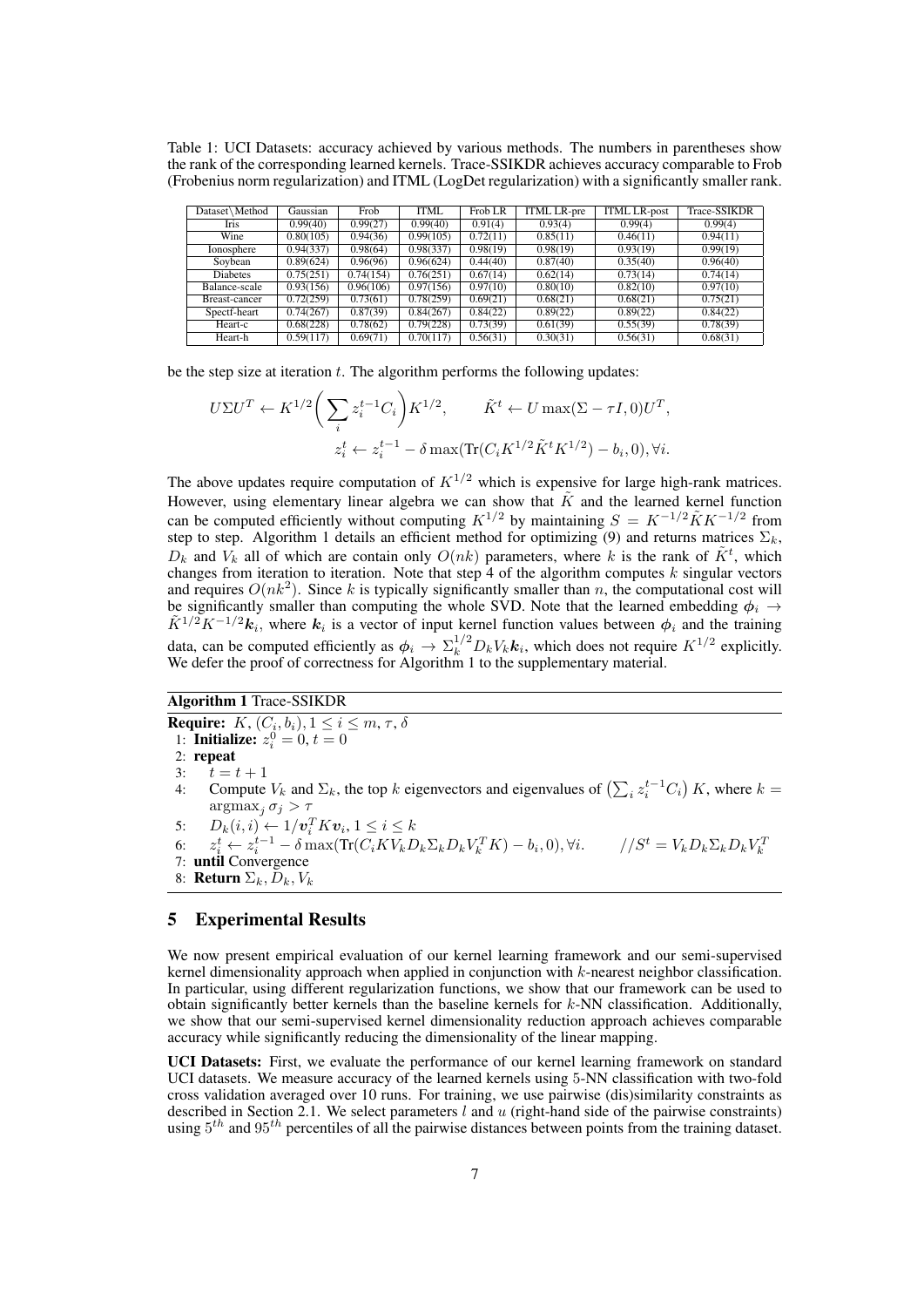Table 1: UCI Datasets: accuracy achieved by various methods. The numbers in parentheses show the rank of the corresponding learned kernels. Trace-SSIKDR achieves accuracy comparable to Frob (Frobenius norm regularization) and ITML (LogDet regularization) with a significantly smaller rank.

| Dataset\Method  | Gaussian  | Frob      | <b>ITML</b> | Frob LR  | <b>ITML LR-pre</b> | <b>ITML LR-post</b> | <b>Trace-SSIKDR</b> |
|-----------------|-----------|-----------|-------------|----------|--------------------|---------------------|---------------------|
| Iris            | 0.99(40)  | 0.99(27)  | 0.99(40)    | 0.91(4)  | 0.93(4)            | 0.99(4)             | 0.99(4)             |
| Wine            | 0.80(105) | 0.94(36)  | 0.99(105)   | 0.72(11) | 0.85(11)           | 0.46(11)            | 0.94(11)            |
| Ionosphere      | 0.94(337) | 0.98(64)  | 0.98(337)   | 0.98(19) | 0.98(19)           | 0.93(19)            | 0.99(19)            |
| Soybean         | 0.89(624) | 0.96(96)  | 0.96(624)   | 0.44(40) | 0.87(40)           | 0.35(40)            | 0.96(40)            |
| <b>Diabetes</b> | 0.75(251) | 0.74(154) | 0.76(251)   | 0.67(14) | 0.62(14)           | 0.73(14)            | 0.74(14)            |
| Balance-scale   | 0.93(156) | 0.96(106) | 0.97(156)   | 0.97(10) | 0.80(10)           | 0.82(10)            | 0.97(10)            |
| Breast-cancer   | 0.72(259) | 0.73(61)  | 0.78(259)   | 0.69(21) | 0.68(21)           | 0.68(21)            | 0.75(21)            |
| Spectf-heart    | 0.74(267) | 0.87(39)  | 0.84(267)   | 0.84(22) | 0.89(22)           | 0.89(22)            | 0.84(22)            |
| Heart-c         | 0.68(228) | 0.78(62)  | 0.79(228)   | 0.73(39) | 0.61(39)           | 0.55(39)            | 0.78(39)            |
| Heart-h         | 0.59(117) | 0.69(71)  | 0.70(117)   | 0.56(31) | 0.30(31)           | 0.56(31)            | 0.68(31)            |

be the step size at iteration *t*. The algorithm performs the following updates:

$$
U\Sigma U^{T} \leftarrow K^{1/2} \bigg( \sum_{i} z_{i}^{t-1} C_{i} \bigg) K^{1/2}, \qquad \tilde{K}^{t} \leftarrow U \max(\Sigma - \tau I, 0) U^{T},
$$
  

$$
z_{i}^{t} \leftarrow z_{i}^{t-1} - \delta \max(\text{Tr}(C_{i} K^{1/2} \tilde{K}^{t} K^{1/2}) - b_{i}, 0), \forall i.
$$

The above updates require computation of  $K^{1/2}$  which is expensive for large high-rank matrices. However, using elementary linear algebra we can show that  $\tilde{K}$  and the learned kernel function can be computed efficiently without computing  $K^{1/2}$  by maintaining  $S = K^{-1/2} \tilde{K} K^{-1/2}$  from step to step. Algorithm 1 details an efficient method for optimizing (9) and returns matrices  $\Sigma_k$ ,  $D_k$  and  $V_k$  all of which are contain only  $O(nk)$  parameters, where *k* is the rank of  $K^t$ , which changes from iteration to iteration. Note that step 4 of the algorithm computes *k* singular vectors and requires  $O(nk^2)$ . Since k is typically significantly smaller than n, the computational cost will be significantly smaller than computing the whole SVD. Note that the learned embedding  $\phi_i \rightarrow$  $\tilde{K}^{1/2}K^{-1/2}k_i$ , where  $k_i$  is a vector of input kernel function values between  $\phi_i$  and the training data, can be computed efficiently as  $\phi_i \to \Sigma_k^{1/2} D_k V_k \mathbf{k}_i$ , which does not require  $K^{1/2}$  explicitly. We defer the proof of correctness for Algorithm 1 to the supplementary material.

## Algorithm 1 Trace-SSIKDR

**Require:**  $K$ ,  $(C_i, b_i)$ ,  $1 \leq i \leq m$ ,  $\tau$ ,  $\delta$ 1: **Initialize:**  $z_i^0 = 0, t = 0$ 2: repeat 3:  $t = t + 1$ <br>4: Compute 4: Compute  $V_k$  and  $\Sigma_k$ , the top  $k$  eigenvectors and eigenvalues of  $\left(\sum_i z_i^{t-1} C_i\right) K$ , where  $k =$  $\argmax_i \sigma_i > \tau$ 5:  $D_k(i, i) \leftarrow 1/\boldsymbol{v}_i^T K \boldsymbol{v}_i, 1 \le i \le k$ 6:  $z_i^t \leftarrow z_i^{t-1} - \delta \max(\text{Tr}(C_i K V_k D_k \Sigma_k D_k V_k^T K) - b_i, 0), \forall i.$   $//S^t = V_k D_k \Sigma_k D_k V_k^T$ 7: until Convergence 8: **Return**  $\Sigma_k$ *,*  $D_k$ *, V<sub>k</sub>* 

# 5 Experimental Results

We now present empirical evaluation of our kernel learning framework and our semi-supervised kernel dimensionality approach when applied in conjunction with *k*-nearest neighbor classification. In particular, using different regularization functions, we show that our framework can be used to obtain significantly better kernels than the baseline kernels for *k*-NN classification. Additionally, we show that our semi-supervised kernel dimensionality reduction approach achieves comparable accuracy while significantly reducing the dimensionality of the linear mapping.

UCI Datasets: First, we evaluate the performance of our kernel learning framework on standard UCI datasets. We measure accuracy of the learned kernels using 5-NN classification with two-fold cross validation averaged over 10 runs. For training, we use pairwise (dis)similarity constraints as described in Section 2.1. We select parameters *l* and *u* (right-hand side of the pairwise constraints) using 5 *th* and 95*th* percentiles of all the pairwise distances between points from the training dataset.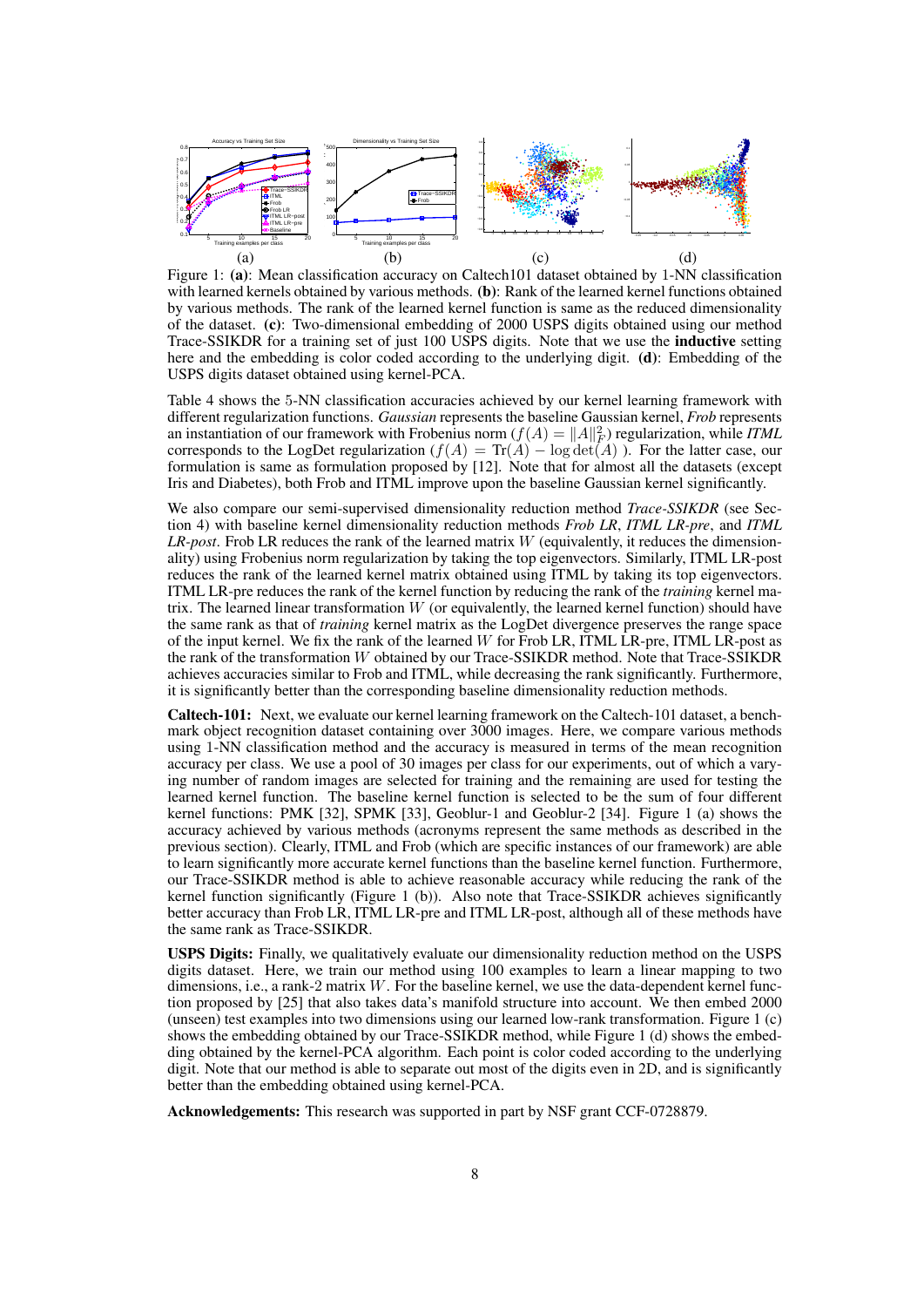

Figure 1: (a): Mean classification accuracy on Caltech101 dataset obtained by 1-NN classification with learned kernels obtained by various methods. (b): Rank of the learned kernel functions obtained by various methods. The rank of the learned kernel function is same as the reduced dimensionality of the dataset. (c): Two-dimensional embedding of 2000 USPS digits obtained using our method Trace-SSIKDR for a training set of just 100 USPS digits. Note that we use the inductive setting here and the embedding is color coded according to the underlying digit. (d): Embedding of the USPS digits dataset obtained using kernel-PCA.

Table 4 shows the 5-NN classification accuracies achieved by our kernel learning framework with different regularization functions. *Gaussian* represents the baseline Gaussian kernel, *Frob* represents an instantiation of our framework with Frobenius norm  $(f(A) = ||A||_F^2)$  regularization, while *ITML* corresponds to the LogDet regularization  $(f(A) = \text{Tr}(A) - \log \det(A))$ . For the latter case, our formulation is same as formulation proposed by [12]. Note that for almost all the datasets (except Iris and Diabetes), both Frob and ITML improve upon the baseline Gaussian kernel significantly.

We also compare our semi-supervised dimensionality reduction method *Trace-SSIKDR* (see Section 4) with baseline kernel dimensionality reduction methods *Frob LR*, *ITML LR-pre*, and *ITML LR-post*. Frob LR reduces the rank of the learned matrix *W* (equivalently, it reduces the dimensionality) using Frobenius norm regularization by taking the top eigenvectors. Similarly, ITML LR-post reduces the rank of the learned kernel matrix obtained using ITML by taking its top eigenvectors. ITML LR-pre reduces the rank of the kernel function by reducing the rank of the *training* kernel matrix. The learned linear transformation *W* (or equivalently, the learned kernel function) should have the same rank as that of *training* kernel matrix as the LogDet divergence preserves the range space of the input kernel. We fix the rank of the learned *W* for Frob LR, ITML LR-pre, ITML LR-post as the rank of the transformation *W* obtained by our Trace-SSIKDR method. Note that Trace-SSIKDR achieves accuracies similar to Frob and ITML, while decreasing the rank significantly. Furthermore, it is significantly better than the corresponding baseline dimensionality reduction methods.

Caltech-101: Next, we evaluate our kernel learning framework on the Caltech-101 dataset, a benchmark object recognition dataset containing over 3000 images. Here, we compare various methods using 1-NN classification method and the accuracy is measured in terms of the mean recognition accuracy per class. We use a pool of 30 images per class for our experiments, out of which a varying number of random images are selected for training and the remaining are used for testing the learned kernel function. The baseline kernel function is selected to be the sum of four different kernel functions: PMK [32], SPMK [33], Geoblur-1 and Geoblur-2 [34]. Figure 1 (a) shows the accuracy achieved by various methods (acronyms represent the same methods as described in the previous section). Clearly, ITML and Frob (which are specific instances of our framework) are able to learn significantly more accurate kernel functions than the baseline kernel function. Furthermore, our Trace-SSIKDR method is able to achieve reasonable accuracy while reducing the rank of the kernel function significantly (Figure 1 (b)). Also note that Trace-SSIKDR achieves significantly better accuracy than Frob LR, ITML LR-pre and ITML LR-post, although all of these methods have the same rank as Trace-SSIKDR.

USPS Digits: Finally, we qualitatively evaluate our dimensionality reduction method on the USPS digits dataset. Here, we train our method using 100 examples to learn a linear mapping to two dimensions, i.e., a rank-2 matrix *W*. For the baseline kernel, we use the data-dependent kernel function proposed by [25] that also takes data's manifold structure into account. We then embed 2000 (unseen) test examples into two dimensions using our learned low-rank transformation. Figure 1 (c) shows the embedding obtained by our Trace-SSIKDR method, while Figure 1 (d) shows the embedding obtained by the kernel-PCA algorithm. Each point is color coded according to the underlying digit. Note that our method is able to separate out most of the digits even in 2D, and is significantly better than the embedding obtained using kernel-PCA.

Acknowledgements: This research was supported in part by NSF grant CCF-0728879.